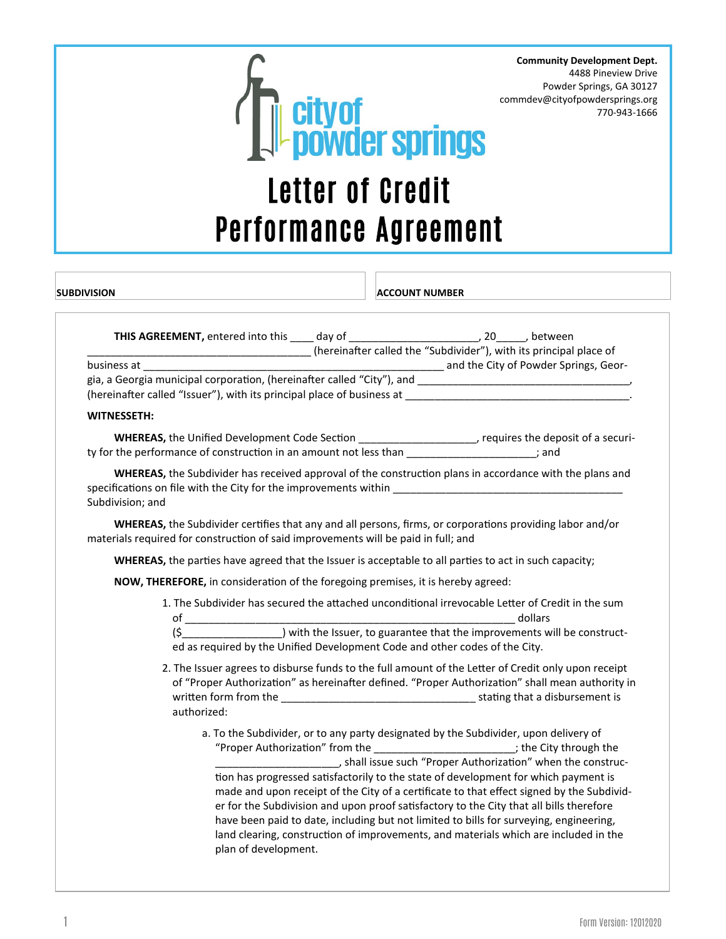

**Community Development Dept.** 4488 Pineview Drive Powder Springs, GA 30127 commdev@cityofpowdersprings.org 770-943-1666

## Performance Agreement **THIS AGREEMENT,** entered into this \_\_\_\_ day of \_\_\_\_\_\_\_\_\_\_\_\_\_\_\_\_\_\_\_\_\_\_\_\_\_\_, 20\_\_\_\_\_\_, between \_\_\_\_\_\_\_\_\_\_\_\_\_\_\_\_\_\_\_\_\_\_\_\_\_\_\_\_\_\_\_\_\_\_\_\_\_\_ (hereinafter called the "Subdivider"), with its principal place of business at \_\_\_\_\_\_\_\_\_\_\_\_\_\_\_\_\_\_\_\_\_\_\_\_\_\_\_\_\_\_\_\_\_\_\_\_\_\_\_\_\_\_\_\_\_\_\_\_\_\_\_ and the City of Powder Springs, Georgia, a Georgia municipal corporation, (hereinafter called "City"), and (hereinafter called "Issuer"), with its principal place of business at \_\_\_\_\_\_\_\_\_ **SUBDIVISION ACCOUNT NUMBER**

## **WITNESSETH:**

| <b>WHEREAS, the Unified Development Code Section</b>              | , requires the deposit of a securi- |
|-------------------------------------------------------------------|-------------------------------------|
| ty for the performance of construction in an amount not less than | : and                               |

 **WHEREAS,** the Subdivider has received approval of the construction plans in accordance with the plans and specifications on file with the City for the improvements within Subdivision; and

 **WHEREAS,** the Subdivider certifies that any and all persons, firms, or corporations providing labor and/or materials required for construction of said improvements will be paid in full; and

**WHEREAS,** the parties have agreed that the Issuer is acceptable to all parties to act in such capacity;

**NOW, THEREFORE,** in consideration of the foregoing premises, it is hereby agreed:

plan of development.

1. The Subdivider has secured the attached unconditional irrevocable Letter of Credit in the sum of the contract of the contract of the contract of the contract of the contract of the contract of the contract of the contract of the contract of the contract of the contract of the contract of the contract of the contrac

(\$\_\_\_\_\_\_\_\_\_\_\_\_\_\_\_\_\_) with the Issuer, to guarantee that the improvements will be constructed as required by the Unified Development Code and other codes of the City.

- 2. The Issuer agrees to disburse funds to the full amount of the Letter of Credit only upon receipt of "Proper Authorization" as hereinafter defined. "Proper Authorization" shall mean authority in written form from the the stating that a disbursement is authorized:
	- a. To the Subdivider, or to any party designated by the Subdivider, upon delivery of "Proper Authorization" from the \_\_\_\_\_\_\_\_\_\_\_\_\_\_\_\_\_\_\_\_\_\_\_\_; the City through the \_\_\_\_\_\_\_\_, shall issue such "Proper Authorization" when the construction has progressed satisfactorily to the state of development for which payment is made and upon receipt of the City of a certificate to that effect signed by the Subdivider for the Subdivision and upon proof satisfactory to the City that all bills therefore have been paid to date, including but not limited to bills for surveying, engineering, land clearing, construction of improvements, and materials which are included in the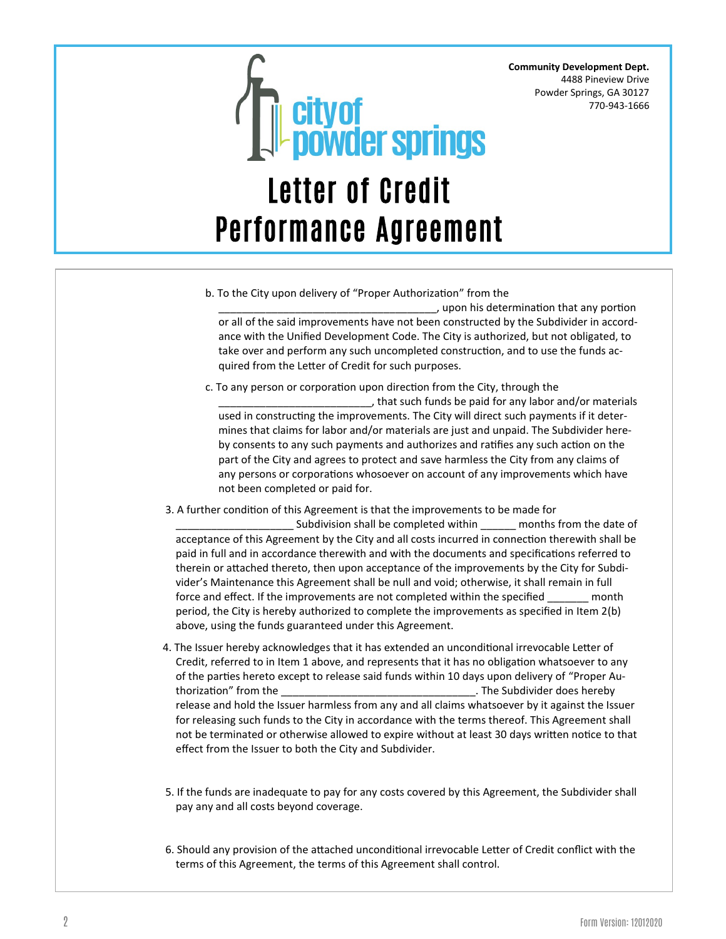**Community Development Dept.** 4488 Pineview Drive Powder Springs, GA 30127 770-943-1666



b. To the City upon delivery of "Proper Authorization" from the

\_\_\_\_\_\_\_\_\_\_\_\_\_\_\_\_\_\_\_\_\_\_\_\_\_\_\_\_\_\_\_\_\_\_\_\_\_, upon his determination that any portion or all of the said improvements have not been constructed by the Subdivider in accordance with the Unified Development Code. The City is authorized, but not obligated, to take over and perform any such uncompleted construction, and to use the funds acquired from the Letter of Credit for such purposes.

c. To any person or corporation upon direction from the City, through the

\_\_\_\_\_\_\_\_\_\_\_\_\_\_\_\_\_\_\_\_\_\_\_\_\_\_, that such funds be paid for any labor and/or materials used in constructing the improvements. The City will direct such payments if it determines that claims for labor and/or materials are just and unpaid. The Subdivider hereby consents to any such payments and authorizes and ratifies any such action on the part of the City and agrees to protect and save harmless the City from any claims of any persons or corporations whosoever on account of any improvements which have not been completed or paid for.

3. A further condition of this Agreement is that the improvements to be made for

Subdivision shall be completed within \_\_\_\_\_\_ months from the date of acceptance of this Agreement by the City and all costs incurred in connection therewith shall be paid in full and in accordance therewith and with the documents and specifications referred to therein or attached thereto, then upon acceptance of the improvements by the City for Subdivider's Maintenance this Agreement shall be null and void; otherwise, it shall remain in full force and effect. If the improvements are not completed within the specified month period, the City is hereby authorized to complete the improvements as specified in Item 2(b) above, using the funds guaranteed under this Agreement.

- 4. The Issuer hereby acknowledges that it has extended an unconditional irrevocable Letter of Credit, referred to in Item 1 above, and represents that it has no obligation whatsoever to any of the parties hereto except to release said funds within 10 days upon delivery of "Proper Authorization" from the \_\_\_\_\_\_\_\_\_\_\_\_\_\_\_\_\_\_\_\_\_\_\_\_\_\_\_\_\_\_\_\_\_. The Subdivider does hereby release and hold the Issuer harmless from any and all claims whatsoever by it against the Issuer for releasing such funds to the City in accordance with the terms thereof. This Agreement shall not be terminated or otherwise allowed to expire without at least 30 days written notice to that effect from the Issuer to both the City and Subdivider.
- 5. If the funds are inadequate to pay for any costs covered by this Agreement, the Subdivider shall pay any and all costs beyond coverage.
- 6. Should any provision of the attached unconditional irrevocable Letter of Credit conflict with the terms of this Agreement, the terms of this Agreement shall control.